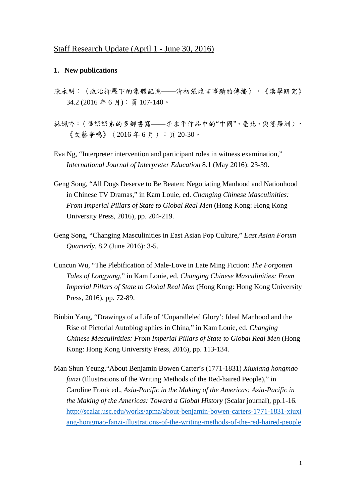## Staff Research Update (April 1 - June 30, 2016)

#### **1. New publications**

- 陳永明:〈政治抑壓下的集體記憶——清初張煌言事蹟的傳播〉,《漢學趼究》 34.2 (2016 年 6 月):頁 107-140。
- 林姵吟:〈華語語系的多鄉書寫——李永平作品中的"中國"、臺北、與婆羅洲〉, 《文藝爭鳴》(2016 年 6 月):頁 20-30。
- Eva Ng, "Interpreter intervention and participant roles in witness examination," *International Journal of Interpreter Education* 8.1 (May 2016): 23-39.
- Geng Song, "All Dogs Deserve to Be Beaten: Negotiating Manhood and Nationhood in Chinese TV Dramas," in Kam Louie, ed. *Changing Chinese Masculinities: From Imperial Pillars of State to Global Real Men* (Hong Kong: Hong Kong University Press, 2016), pp. 204-219.
- Geng Song, "Changing Masculinities in East Asian Pop Culture," *East Asian Forum Quarterly*, 8.2 (June 2016): 3-5.
- Cuncun Wu, "The Plebification of Male-Love in Late Ming Fiction: *The Forgotten Tales of Longyang*," in Kam Louie, ed. *Changing Chinese Masculinities: From Imperial Pillars of State to Global Real Men* (Hong Kong: Hong Kong University Press, 2016), pp. 72-89.
- Binbin Yang, "Drawings of a Life of 'Unparalleled Glory': Ideal Manhood and the Rise of Pictorial Autobiographies in China," in Kam Louie, ed. *Changing Chinese Masculinities: From Imperial Pillars of State to Global Real Men* (Hong Kong: Hong Kong University Press, 2016), pp. 113-134.
- Man Shun Yeung,"About Benjamin Bowen Carter's (1771-1831) *Xiuxiang hongmao fanzi* (Illustrations of the Writing Methods of the Red-haired People)," in Caroline Frank ed., *Asia-Pacific in the Making of the Americas: Asia-Pacific in the Making of the Americas: Toward a Global History (Scalar journal), pp.1-16.* http://scalar.usc.edu/works/apma/about-benjamin-bowen-carters-1771-1831-xiuxi ang-hongmao-fanzi-illustrations-of-the-writing-methods-of-the-red-haired-people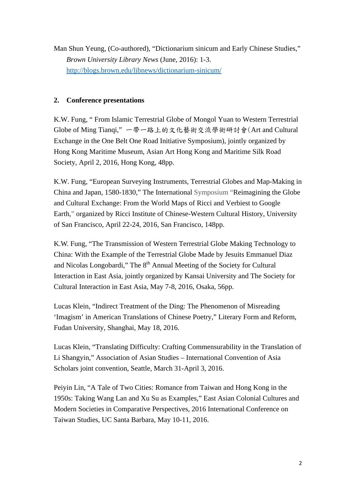Man Shun Yeung, (Co-authored), "Dictionarium sinicum and Early Chinese Studies," *Brown University Library News* (June, 2016): 1-3. http://blogs.brown.edu/libnews/dictionarium-sinicum/

## **2. Conference presentations**

K.W. Fung, " From Islamic Terrestrial Globe of Mongol Yuan to Western Terrestrial Globe of Ming Tianqi," 一帶一路上的文化藝術交流學術研討會(Art and Cultural Exchange in the One Belt One Road Initiative Symposium), jointly organized by Hong Kong Maritime Museum, Asian Art Hong Kong and Maritime Silk Road Society, April 2, 2016, Hong Kong, 48pp.

K.W. Fung, "European Surveying Instruments, Terrestrial Globes and Map-Making in China and Japan, 1580-1830," The International Symposium "Reimagining the Globe and Cultural Exchange: From the World Maps of Ricci and Verbiest to Google Earth," organized by Ricci Institute of Chinese-Western Cultural History, University of San Francisco, April 22-24, 2016, San Francisco, 148pp.

K.W. Fung, "The Transmission of Western Terrestrial Globe Making Technology to China: With the Example of the Terrestrial Globe Made by Jesuits Emmanuel Diaz and Nicolas Longobardi," The 8<sup>th</sup> Annual Meeting of the Society for Cultural Interaction in East Asia, jointly organized by Kansai University and The Society for Cultural Interaction in East Asia, May 7-8, 2016, Osaka, 56pp.

Lucas Klein, "Indirect Treatment of the Ding: The Phenomenon of Misreading 'Imagism' in American Translations of Chinese Poetry," Literary Form and Reform, Fudan University, Shanghai, May 18, 2016.

Lucas Klein, "Translating Difficulty: Crafting Commensurability in the Translation of Li Shangyin," Association of Asian Studies – International Convention of Asia Scholars joint convention, Seattle, March 31-April 3, 2016.

Peiyin Lin, "A Tale of Two Cities: Romance from Taiwan and Hong Kong in the 1950s: Taking Wang Lan and Xu Su as Examples," East Asian Colonial Cultures and Modern Societies in Comparative Perspectives, 2016 International Conference on Taiwan Studies, UC Santa Barbara, May 10-11, 2016.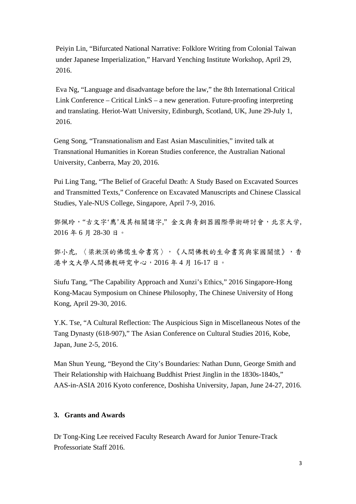Peiyin Lin, "Bifurcated National Narrative: Folklore Writing from Colonial Taiwan under Japanese Imperialization," Harvard Yenching Institute Workshop, April 29, 2016.

Eva Ng, "Language and disadvantage before the law," the 8th International Critical Link Conference – Critical LinkS – a new generation. Future-proofing interpreting and translating. Heriot-Watt University, Edinburgh, Scotland, UK, June 29-July 1, 2016.

Geng Song, "Transnationalism and East Asian Masculinities," invited talk at Transnational Humanities in Korean Studies conference, the Australian National University, Canberra, May 20, 2016.

Pui Ling Tang, "The Belief of Graceful Death: A Study Based on Excavated Sources and Transmitted Texts," Conference on Excavated Manuscripts and Chinese Classical Studies, Yale-NUS College, Singapore, April 7-9, 2016.

鄧佩玲, "古文字'廌'及其相關諸字," 金文與青銅器國際學術研討會, 北京大学, 2016 年 6 月 28-30 日。

鄧小虎, 〈梁漱溟的佛儒生命書寫〉,《人間佛教的生命書寫與家國關懷》,香 港中文大學人間佛教研究中心,2016 年 4 月 16-17 日。

Siufu Tang, "The Capability Approach and Xunzi's Ethics," 2016 Singapore-Hong Kong-Macau Symposium on Chinese Philosophy, The Chinese University of Hong Kong, April 29-30, 2016.

Y.K. Tse, "A Cultural Reflection: The Auspicious Sign in Miscellaneous Notes of the Tang Dynasty (618-907)," The Asian Conference on Cultural Studies 2016, Kobe, Japan, June 2-5, 2016.

Man Shun Yeung, "Beyond the City's Boundaries: Nathan Dunn, George Smith and Their Relationship with Haichuang Buddhist Priest Jinglin in the 1830s-1840s," AAS-in-ASIA 2016 Kyoto conference, Doshisha University, Japan, June 24-27, 2016.

## **3. Grants and Awards**

Dr Tong-King Lee received Faculty Research Award for Junior Tenure-Track Professoriate Staff 2016.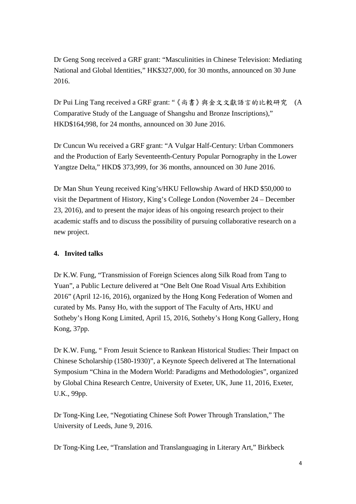Dr Geng Song received a GRF grant: "Masculinities in Chinese Television: Mediating National and Global Identities," HK\$327,000, for 30 months, announced on 30 June 2016.

Dr Pui Ling Tang received a GRF grant: "《尚書》與金文文獻語言的比較研究 (A Comparative Study of the Language of Shangshu and Bronze Inscriptions)," HKD\$164,998, for 24 months, announced on 30 June 2016.

Dr Cuncun Wu received a GRF grant: "A Vulgar Half-Century: Urban Commoners and the Production of Early Seventeenth-Century Popular Pornography in the Lower Yangtze Delta," HKD\$ 373,999, for 36 months, announced on 30 June 2016.

Dr Man Shun Yeung received King's/HKU Fellowship Award of HKD \$50,000 to visit the Department of History, King's College London (November 24 – December 23, 2016), and to present the major ideas of his ongoing research project to their academic staffs and to discuss the possibility of pursuing collaborative research on a new project.

# **4. Invited talks**

Dr K.W. Fung, "Transmission of Foreign Sciences along Silk Road from Tang to Yuan", a Public Lecture delivered at "One Belt One Road Visual Arts Exhibition 2016" (April 12-16, 2016), organized by the Hong Kong Federation of Women and curated by Ms. Pansy Ho, with the support of The Faculty of Arts, HKU and Sotheby's Hong Kong Limited, April 15, 2016, Sotheby's Hong Kong Gallery, Hong Kong, 37pp.

Dr K.W. Fung, " From Jesuit Science to Rankean Historical Studies: Their Impact on Chinese Scholarship (1580-1930)", a Keynote Speech delivered at The International Symposium "China in the Modern World: Paradigms and Methodologies", organized by Global China Research Centre, University of Exeter, UK, June 11, 2016, Exeter, U.K., 99pp.

Dr Tong-King Lee, "Negotiating Chinese Soft Power Through Translation," The University of Leeds, June 9, 2016.

Dr Tong-King Lee, "Translation and Translanguaging in Literary Art," Birkbeck